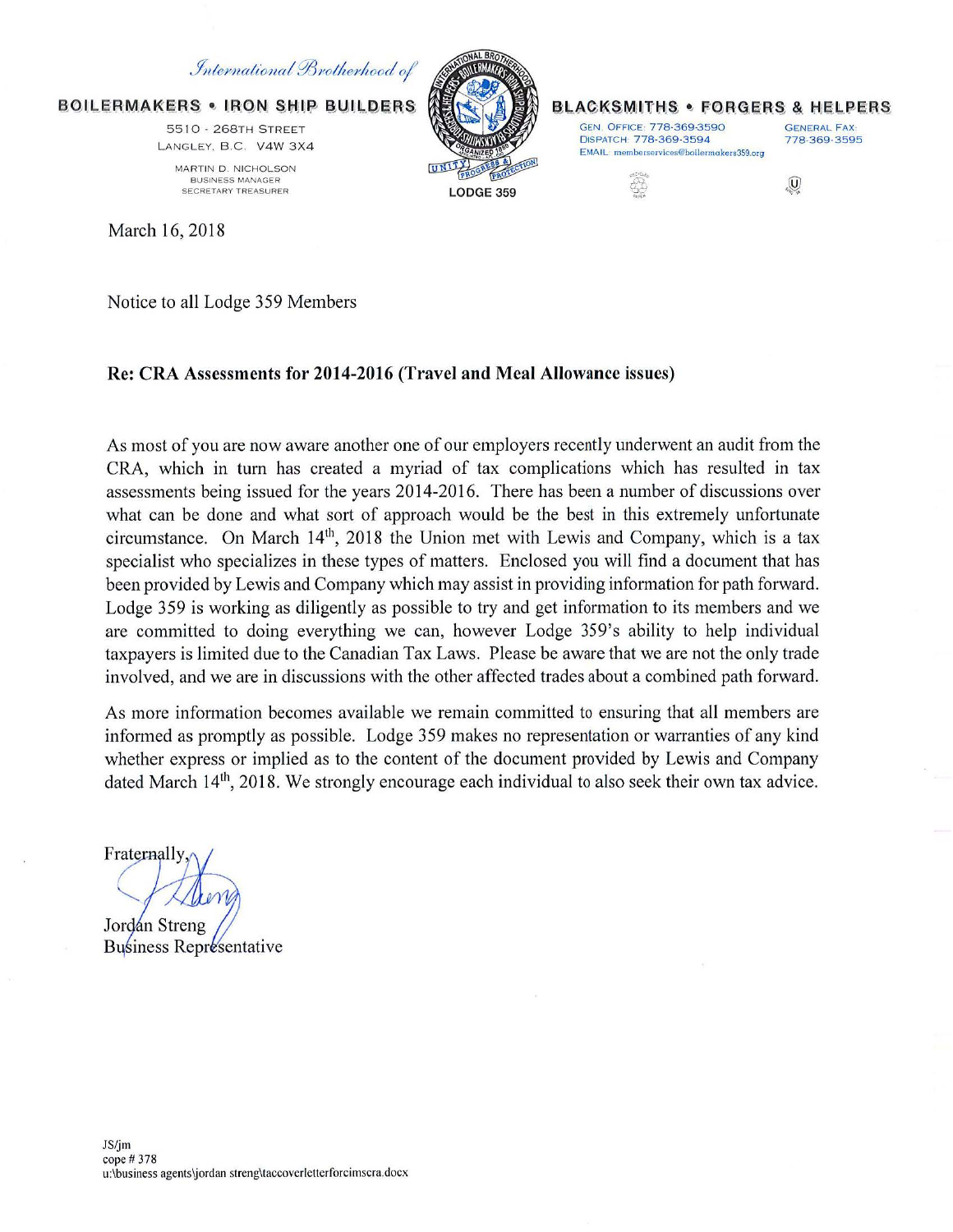# International Brotherhood of

**BOILERMAKERS . IRON SHIP BUILDERS** 

5510 - 268TH STREET LANGLEY, B.C. V4W 3X4 MARTIN D. NICHOLSON

BUSINESS MANAGER SECRETARY TREASURER

March 16, 2018

LODGE 359

#### **BLACKSMITHS • FORGERS & HELPERS**

GEN. OFFICE: 778-369-3590<br>DISPATCH: 778-369-3594 778-369-3595 DISPATCH: 778-369-3594 EMAIL: memberservices@boilermakers359.org

삶

 $\overline{0}$ 

Notice to all Lodge 359 Members

# Re: CRA Assessments for 2014-2016 (Travel and Meal Allowance issues)

As most of you are now aware another one of our employers recently underwent an audit from the CRA, which in turn has created a myriad of tax complications which has resulted in tax assessments being issued for the years 2014-2016. There has been a number of discussions over what can be done and what sort of approach would be the best in this extremely unfortunate circumstance. On March  $14<sup>th</sup>$ , 2018 the Union met with Lewis and Company, which is a tax specialist who specializes in these types of matters. Enclosed you will find a document that has been provided by Lewis and Company which may assist in providing information for path forward. Lodge 359 is working as diligently as possible to try and get information to its members and we are committed to doing everything we can, however Lodge 359's ability to help individual taxpayers is limited due to the Canadian Tax Laws. Please be aware that we are not the only trade involved, and we are in discussions with the other affected trades about a combined path forward.

As more information becomes available we remain committed to ensuring that all members are informed as promptly as possible. Lodge 359 makes no representation or warranties of any kind whether express or implied as to the content of the document provided by Lewis and Company dated March  $14<sup>th</sup>$ , 2018. We strongly encourage each individual to also seek their own tax advice.

Fraternally

Jordán Streng

**Business Representative**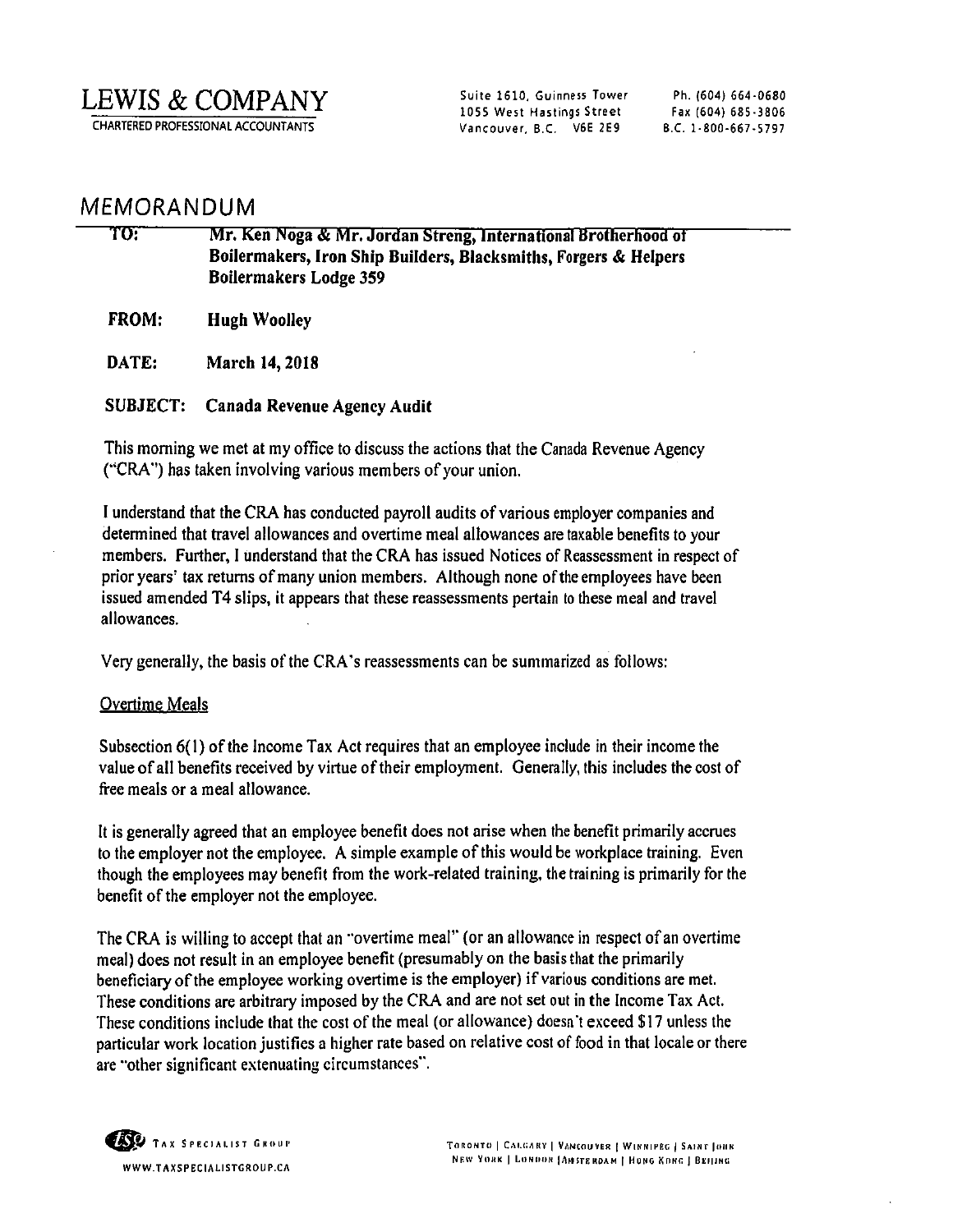LEWIS & COMPANY

CHARTERED PROFESSIONAL ACCOUNTANTS

Suite 1610, Guinness Tower 1055 West Hastings Street Vancouver, B.C. V6E 2E9

Ph. (604) 664-0680 Fax (604) 685-3806 8.C. 1-800-667-5797

# MEMORANDUM

| TO:          | Mr. Ken Noga & Mr. Jordan Streng, International Brotherhood of<br>Boilermakers, Iron Ship Builders, Blacksmiths, Forgers & Helpers<br><b>Boilermakers Lodge 359</b> |
|--------------|---------------------------------------------------------------------------------------------------------------------------------------------------------------------|
| <b>FROM:</b> | <b>Hugh Woolley</b>                                                                                                                                                 |
| DATE:        | March 14, 2018                                                                                                                                                      |
|              |                                                                                                                                                                     |

SUBJECT: Canada Revenue Agency Audit

This morning we met at my office to discuss the actions that the Canada Revenue Agency ("CRA") has taken involving various members of your union.

I understand that the CRA has conducted payroll audits of various employer companies and determined that travel allowances and overtime meal allowances are taxable benefits to your members. Further, I understand that the CRA has issued Notices of Reassessment in respect of prior years' tax returns of many union members. Although none of the employees have been issued amended T4 slips, it appears that these reassessments pertain to these meal and travel allowances.

Very generally, the basis of the CRA 's reassessments can be summarized as follows:

## Overtime Meals

Subsection 6(1) of the Income Tax Act requires that an employee include in their income the value ofall benefits received by virtue of their employment. Generally, this includes the cost of free meals or a meal allowance.

It is generally agreed that an employee benefit does not arise when the benefit primarily accrues to the employer not the employee. A simple example of this would be workplace training. Even though the employees may benefit from the work-related training, the training is primarily for the benefit of the employer not the employee.

The CRA is willing to accept that an "overtime meal" (or an allowance in respect of an overtime meal) does not result in an employee benefit (presumably on the basis that the primarily beneficiary of the employee working overtime is the employer) if various conditions are met. These conditions are arbitrary imposed by the CRA and are not set out in the Income Tax Act. These conditions include that the cost of the meal (or allowance) doesn't exceed \$17 unless the particular work location justifies a higher rate based on relative cost of food in that locale or there are "other significant extenuating circumstances''.

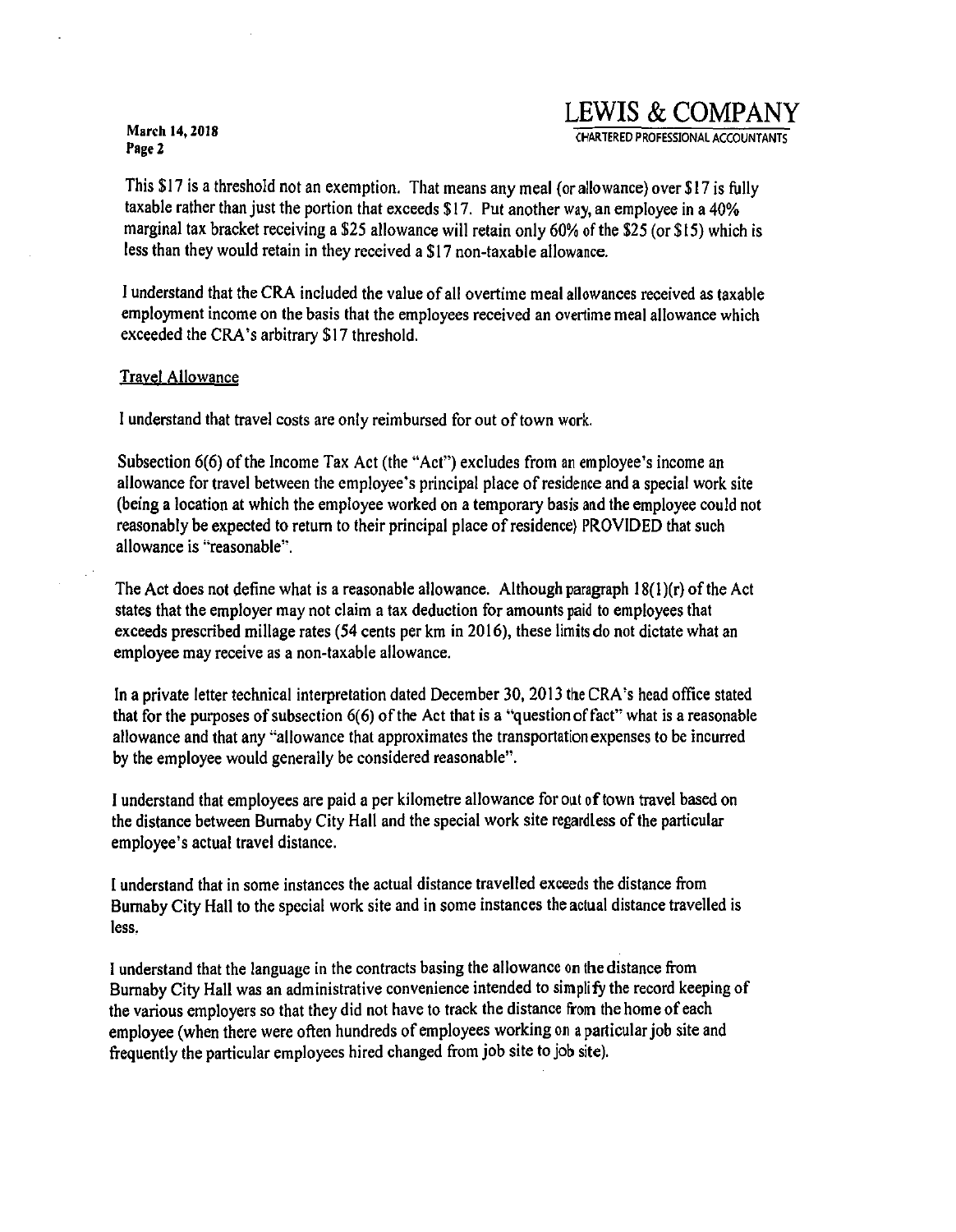# **LEWIS & COMPANY**

CHARTERED PROFESSIONAL ACCOUNTANTS

This \$17 is a threshold not an exemption. That means any meal (or allowance) over \$17 is fully taxable rather than just the portion that exceeds \$17. Put another way, an employee in a 40% marginal tax bracket receiving a \$25 allowance will retain only 60% of the \$25 (or \$15) which is less than they would retain in they received a \$17 non-taxable allowance.

I understand that the CRA included the value of all overtime meal allowances received as taxable employment income on the basis that the employees received an overtime meal allowance which exceeded the CRA's arbitrary \$17 threshold.

### Travel Allowance

I understand that travel costs are only reimbursed for out of town work.

Subsection 6(6) of the Income Tax Act (the "Act") excludes from an employee's income an allowance for travel between the employee's principal place of residence and a special work site (being a location at which the employee worked on a temporary basis and the employee could not reasonably be expected to return to their principal place ofresidence) PROVIDED that such allowance is "reasonable".

The Act does not define what is a reasonable allowance. Although paragraph  $18(1)(r)$  of the Act states that the employer may not claim a tax deduction for amounts paid to employees that exceeds prescribed millage rates (54 cents per km in 2016), these limits do not dictate what an employee may receive as a non-taxable allowance.

In a private letter technical interpretation dated December 30, 2013 the CRA's head office stated that for the purposes of subsection  $6(6)$  of the Act that is a "question of fact" what is a reasonable allowance and that any "allowance that approximates the transportation expenses to be incurred by the employee would generally be considered reasonable".

**1** understand that employees are paid a per kilometre allowance for out of town travel based on the distance between Burnaby City Hall and the special work site regardless of the particular employee's actual travel distance.

I understand that in some instances the actual distance travelled exceeds the distance from Burnaby City Hall to the special work site and in some instances the actual distance travelled is less.

I understand that the language in the contracts basing the allowance on the distance from Burnaby City Hall was an administrative convenience intended to simplify the record keeping of the various employers so that they did not have to track the distance from the home of each employee (when there were often hundreds of employees working on a particular job site and frequently the particular employees hired changed from job site to job site).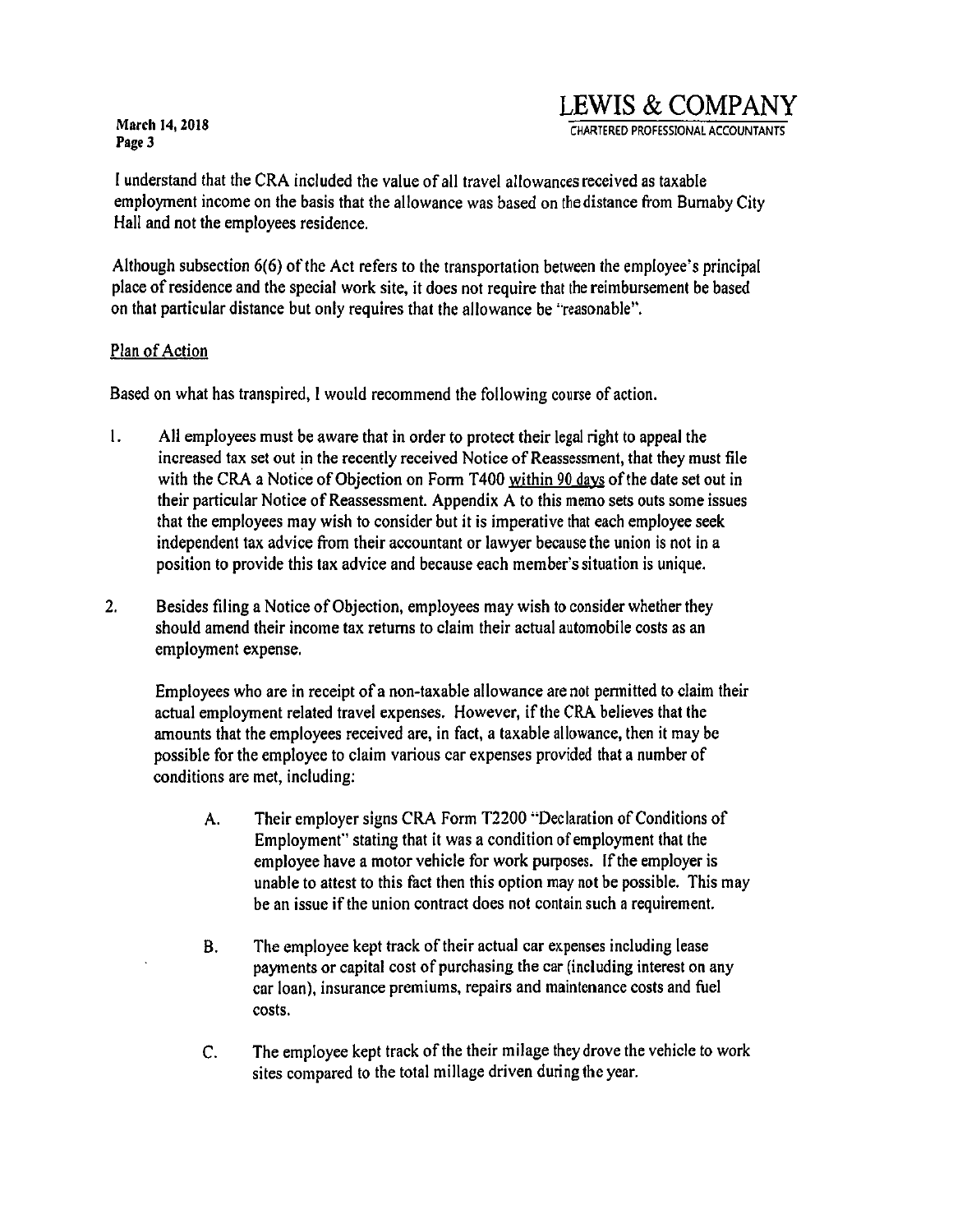# **LEWIS & COMPANY**

CHARTERED PROFESSIONAL ACCOUNTANTS

I understand that the CRA included the value of all travel allowances received as taxable employment income on the basis that the allowance was based on the distance from Burnaby City Hall and not the employees residence.

Although subsection 6(6) of the Act refers to the transportation between the employee's principal place of residence and the special work site, it does not require that the reimbursement be based on that particular distance but only requires that the allowance be "reasonable".

## Plan of Action

Based on what has transpired, I would recommend the following course of action.

- I. All employees must be aware that in order to protect their legal right to appeal the increased tax set out in the recently received Notice of Reassessment, that they must file with the CRA a Notice of Objection on Form T400 within 90 days of the date set out in their particular Notice of Reassessment. Appendix A to this memo sets outs some issues that the employees may wish to consider but it is imperative that each employee seek independent tax advice from their accountant or lawyer because the union is not in a position to provide this tax advice and because each member's situation is unique.
- 2. Besides filing a Notice of Objection, employees may wish to consider whether they should amend their income tax returns to claim their actual automobile costs as an employment expense.

Employees who are in receipt of a non-taxable allowance are not pennitted to claim their actual employment related travel expenses. However, ifthe CRA believes that the amounts that the employees received are, in fact, a taxable allowance, then it may be possible for the employee to claim various car expenses provided that a number of conditions are met, including:

- A. Their employer signs CRA Form T2200 "Declaration of Conditions of Employment'' stating that it was a condition of employment that the employee have a motor vehicle for work purposes. If the employer is unable to attest to this fact then this option may not be possible. This may be an issue if the union contract does not contain such a requirement.
- B. The employee kept track of their actual car expenses including lease payments or capital cost of purchasing the car (including interest on any car loan), insurance premiums, repairs and maintenance costs and fuel costs.
- C. The employee kept track of the their milage they drove the vehicle to work sites compared to the total millage driven during the year.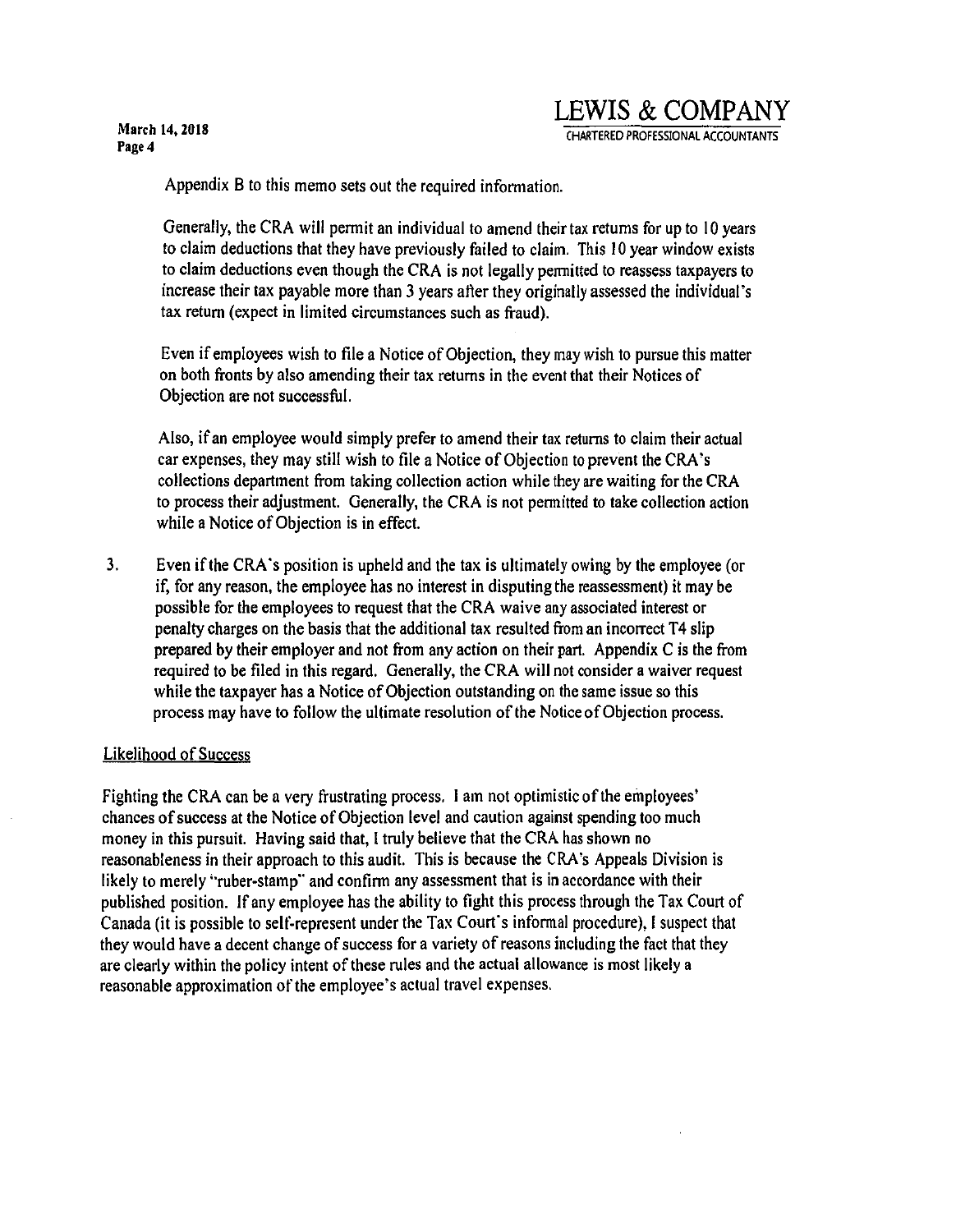# **LEWIS & COMP ANY**

CHARTERED PROFESSIONAL ACCOUNTANTS

Appendix B to this memo sets out the required information.

Generally, the CRA will permit an individual to amend their tax returns for up to I 0 years to claim deductions that they have previously failed to claim. This I 0 year window exists to claim deductions even though the CRA is not legally permitted to reassess taxpayers to increase their tax payable more than 3 years after they originally assessed the individual's tax return (expect in limited circumstances such as fraud).

Even if employees wish to file a Notice of Objection, they may wish to pursue this matter on both fronts by also amending their tax returns in the event that their Notices of Objection are not successful.

Also, if an employee would simply prefer to amend their tax returns to claim their actual car expenses, they may still wish to file a Notice of Objection to prevent the CRA 's collections department from taking collection action while they are waiting for the CRA to process their adjustment. Generally, the CRA is not pennitted to take collection action while a Notice of Objection is in effect.

3. Even if the CRA's position is upheld and the tax is ultimately owing by the employee (or if, for any reason, the employee has no interest in disputing the reassessment) it may be possible for the employees to request that the CRA waive any associated interest or penalty charges on the basis that the additional tax resulted from an incorrect T4 slip prepared by their employer and not from any action on their part. Appendix C is the from required to be filed in this regard. Generally, the CRA will not consider a waiver request while the taxpayer has a Notice of Objection outstanding on the same issue so this process may have to follow the ultimate resolution of the Notice of Objection process.

## Likelihood of Success

Fighting the CRA can be a very frustrating process. I am not optimistic of the employees' chances of success at the Notice of Objection level and caution against spending too much money in this pursuit. Having said that, I truly believe that the CRA has shown no reasonableness in their approach to this audit. This is because the CRA's Appeals Division is likely to merely "ruber-stamp" and confirm any assessment that is in accordance with their published position. If any employee has the ability to fight this process through the Tax Court of Canada (it is possible to selt~represent under the Tax Court's infonnal procedure), I suspect that they would have a decent change of success for a variety of reasons including the fact that they are clearly within the policy intent of these rules and the actual allowance is most likely a reasonable approximation of the employee's actual travel expenses.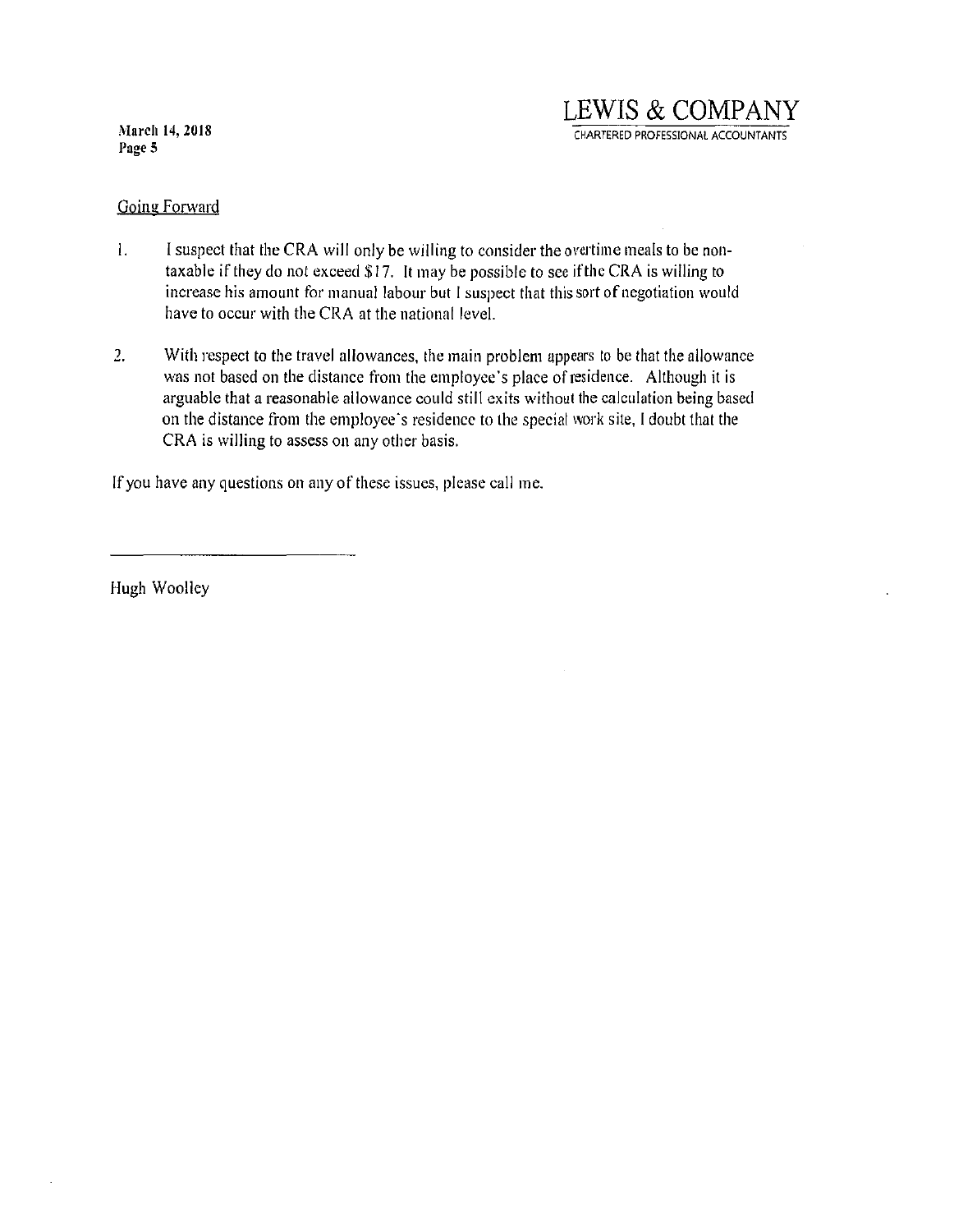## Going Forward

- I. I suspect that the CRA will only be willing to consider the overtime meals to be nontaxable if they do not exceed \$17. It may be possible to see if the CRA is willing to increase his amount for manual labour but I suspect that this sort of negotiation would have to occur with the CRA at the national level.
- 2. With respect to the travel allowances, the main problem appears to be that the allowance was not based on the distance from the employee's place of residence. Although it is arguable that a reasonable allowance could still exits without the calculation being based on the distance from the employee's residence to the special work site, I doubt that the CRA is willing to assess on any other basis.

If you have any questions on any of these issues, please call me.

Hugh Woolley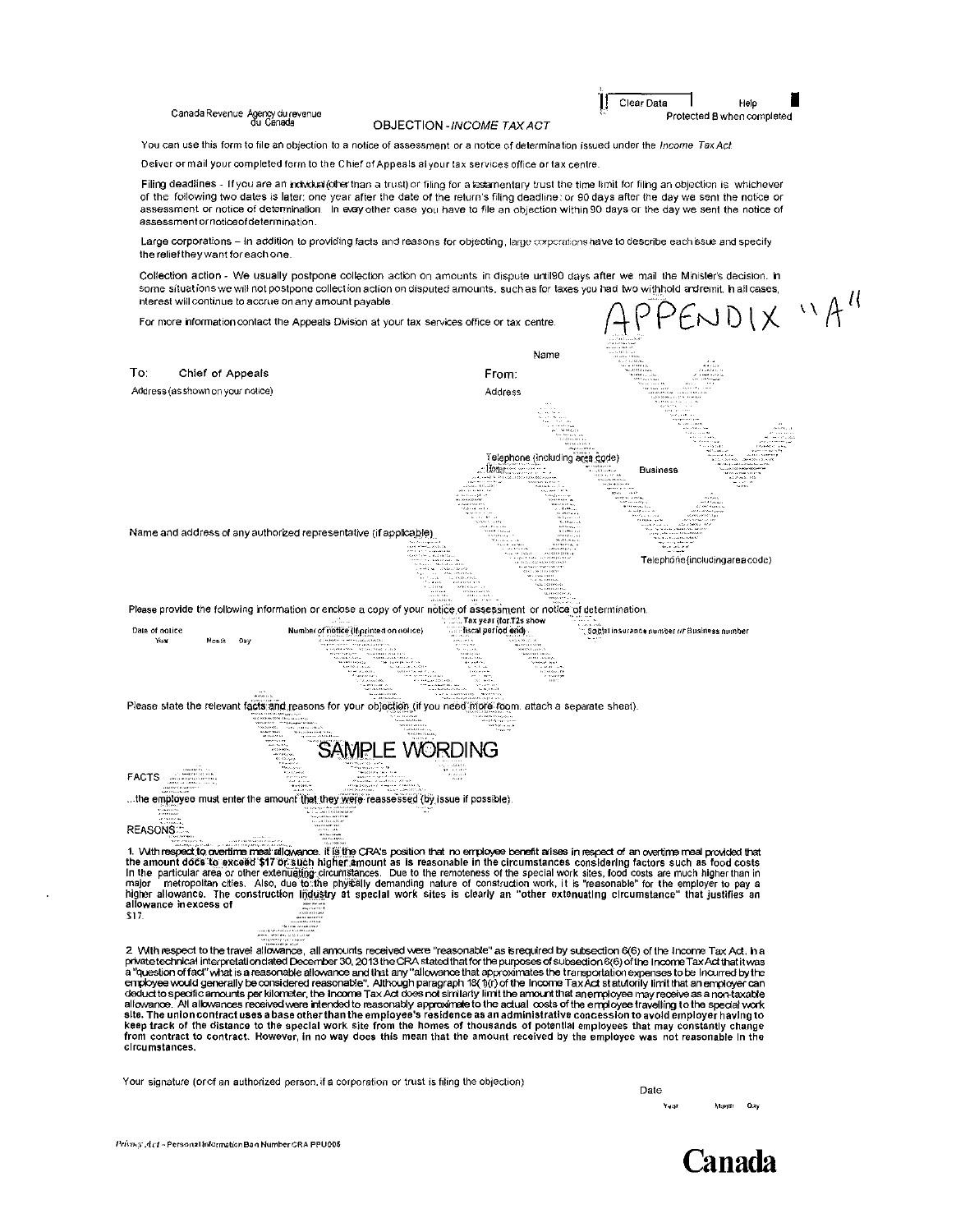Canada Revenue Agency du revenue

#### **OBJECTION-INCOME TAX ACT**

Clear Data

Help

Protected B when completed

You can use this form to file an objection to a notice of assessment or a notice of determination issued under the Income Tax Act.

Delver or mail your completed form to the Chief of Appeals al your tax services office or tax centre.

Filing deadlines - If you are an individual (other than a trust) or filing for a lestamentary trust the time limit for filing an objection is whichever of the following two dates is later; one year after the date of the return's filing deadline; or 90 days after the day we sent the notice or assessment or notice of determination. In exay other case you have to file an objection within 90 days or the day we sent the notice of assessment or notice of determination.

Large corporations - In addition to providing facts and reasons for objecting, large corporations have to describe each issue and specify the relief they want for each one

Collection action - We usually postpone collection action on amounts in dispute until90 days after we mail the Minister's decision. In some situations we will not postpone collection action on disputed amounts, such as for taxes you had two withhold andremit. In all cases,

 $SNDIX$  " $A''$ interest will continue to accrue on any amount payable. For more information contact the Appeals Division at your tax services office or tax centre. Name To<sup>-</sup> Chief of Appeals From: Address (as shown on your notice) Address Telephone (including area code) Home. **Business** Name and address of any authorized representative (if applicable) Telephone (includingarea code) Please provide the following information or enclose a copy of your notice of assessment or notice of determination. Tax year (for T2s sh Date of notice Number of notice (If printed on notice) fiscal period end Year Menti Please state the relevant facts and reasons for your objection (if you need more room, attach a separate sheet). **SAMPLE WORDING FACTS** ...the employee must enter the amount that they were reassessed (by issue if possible) **REASONS** 1. With respect to overtime meal allowance. If is the CRA's position that no employee benefit arises in respect of an overtime meal provided that Framount does to excell the higher amount as is reasonable in the circumstances considering factors such as food costs<br>In the particular area or other extenualing circumstances. Due to the remoteness of the special work si allowance in excess of \$17. 2 With respect to the travel allowance, all amounts received were "reasonable" as isrequired by subsection 6(6) of the Income Tax Act. h a

private technical interpretationdated December 30, 2013 the CRA stated that for the purposes of subsedion 6(6) of the Income Tax Act that it was<br>a "question of fact" what is a reasonable allowance and that any "allowance t deduct to specific amounts per kilometer, the income Tax Act does not similarly limit the amount that anemployee may receive as a non-taxable<br>allowance. All allowances received were intended to reasonably approximate to th keep track of the distance to the special work site from the homes of thousands of potential employees that may constantly change<br>from contract to contract. However, in no way does this mean that the amount received by the circumstances.

Your signature (or of an authorized person, if a corporation or trust is filing the objection)

Date Namm Oay Yanl

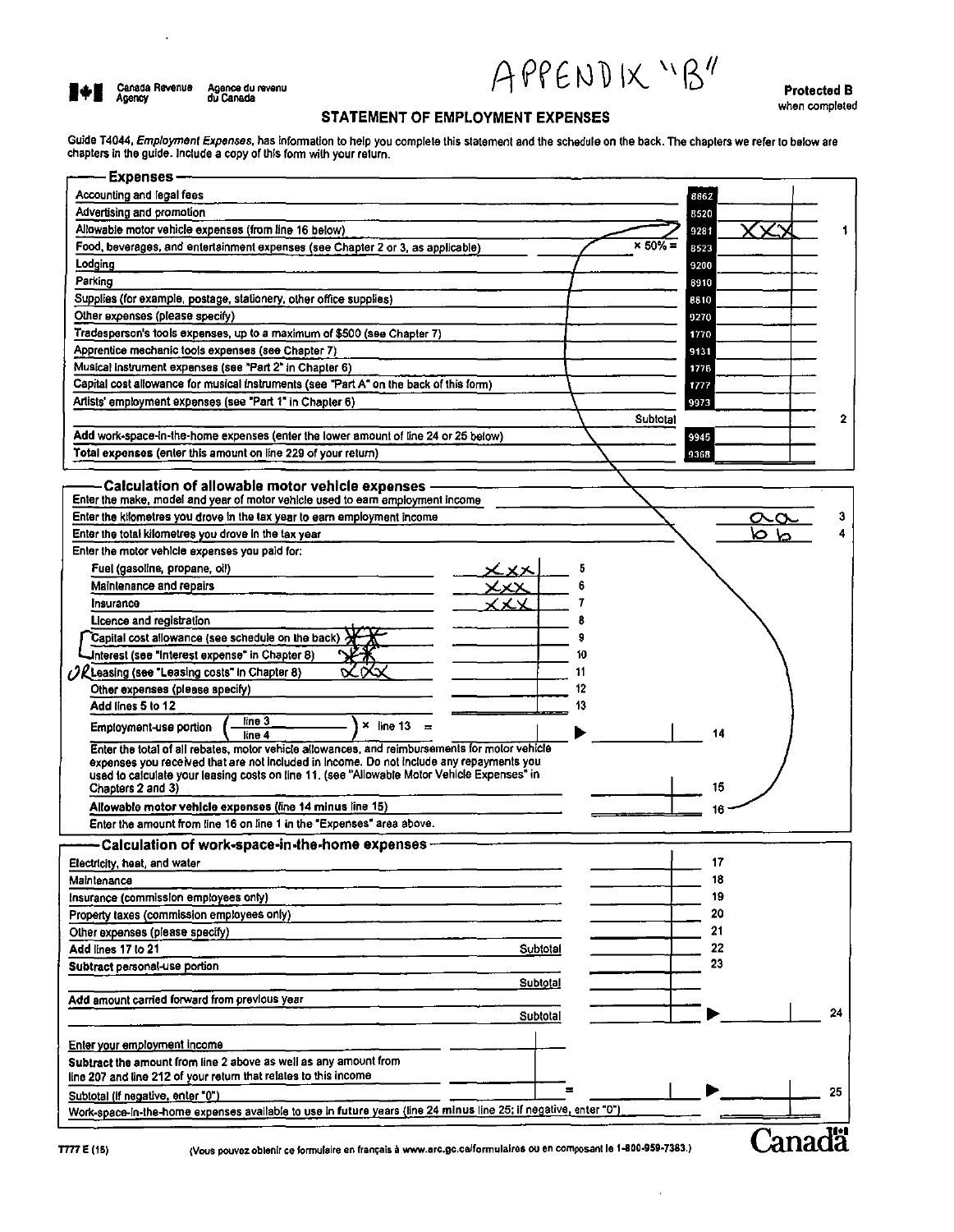101

 $\ddot{\phantom{0}}$ 

APPENDIX "B"

**Protected B** when completed

### STATEMENT OF EMPLOYMENT EXPENSES

Guide T4044, Employment Expenses, has information to help you complete this statement and the schedule on the back. The chapters we refer to below are<br>chapters in the guide. Include a copy of this form with your return.

| <b>Expenses-</b>                                                                                                                                      |                        |
|-------------------------------------------------------------------------------------------------------------------------------------------------------|------------------------|
| Accounting and legal fees                                                                                                                             | 8862                   |
| Advertising and promotion                                                                                                                             | 8520                   |
| Allowable motor vehicle expenses (from line 16 below)                                                                                                 | 9281                   |
| Food, beverages, and entertainment expenses (see Chapter 2 or 3, as applicable)                                                                       | $\times$ 50% =<br>8523 |
| Lodging                                                                                                                                               | 9200                   |
| Parking                                                                                                                                               | 8910                   |
| Supplies (for example, postage, stationery, other office supplies)                                                                                    | 8810                   |
| Other expenses (please specify)                                                                                                                       | 9270                   |
| Tradesperson's tools expenses, up to a maximum of \$500 (see Chapter 7)                                                                               | 1770                   |
| Apprentice mechanic tools expenses (see Chapter 7)                                                                                                    | 9131                   |
| Musical instrument expenses (see "Part 2" in Chapter 6)                                                                                               | 1776                   |
| Capital cost allowance for musical instruments (see "Part A" on the back of this form)                                                                | 1777                   |
| Artists' employment expenses (see "Part 1" in Chapter 6)                                                                                              | 9973                   |
|                                                                                                                                                       | Subtotal<br>2          |
| Add work-space-in-the-home expenses (enter the lower amount of line 24 or 25 below)                                                                   | 9945                   |
| Total expenses (enter this amount on line 229 of your return)                                                                                         | 9368                   |
|                                                                                                                                                       |                        |
| Calculation of allowable motor vehicle expenses                                                                                                       |                        |
| Enter the make, model and year of motor vehicle used to earn employment income                                                                        |                        |
| Enter the kilometres you drove in the tax year to earn employment income                                                                              | 3                      |
| Enter the total kilometres you drove in the tax year                                                                                                  |                        |
| Enter the motor vehicle expenses you paid for:                                                                                                        |                        |
| Fuel (gasoline, propane, oil)                                                                                                                         |                        |
| Maintenance and repairs                                                                                                                               |                        |
| Insurance                                                                                                                                             |                        |
| Licence and registration                                                                                                                              |                        |
| Capital cost allowance (see schedule on the back)                                                                                                     |                        |
| Interest (see "Interest expense" in Chapter 8)                                                                                                        | 10                     |
| $\mathcal{H}$ Leasing (see "Leasing costs" in Chapter 8)                                                                                              | 11                     |
| Other expenses (please specify)                                                                                                                       | 12                     |
| Add lines 5 to 12                                                                                                                                     | 13                     |
| line 3                                                                                                                                                |                        |
| $\times$ line 13 =<br>Employment-use portion<br>line 4                                                                                                | 14                     |
| Enter the total of all rebates, motor vehicle allowances, and reimbursements for motor vehicle                                                        |                        |
| expenses you received that are not included in Income. Do not include any repayments you                                                              |                        |
| used to calculate your leasing costs on line 11, (see "Allowable Motor Vehicle Expenses" in<br>Chapters 2 and 3)                                      | 15                     |
| Allowable motor vehicle expenses (fine 14 minus line 15)                                                                                              |                        |
| Enter the amount from line 16 on line 1 in the "Expenses" area above.                                                                                 |                        |
|                                                                                                                                                       |                        |
| – Calculation of work-space-in-the-home expenses −                                                                                                    |                        |
| Electricity, heat, and water                                                                                                                          | 17                     |
| Maintenance                                                                                                                                           | 18                     |
| Insurance (commission employees only)                                                                                                                 | 19                     |
| Property taxes (commission employees only)                                                                                                            | 20                     |
| Other expenses (please specify)                                                                                                                       | 21                     |
| Add lines 17 to 21<br>Subtotal                                                                                                                        | 22                     |
| Subtract personal-use portion                                                                                                                         | 23                     |
| Subtotal                                                                                                                                              |                        |
| Add amount carried forward from previous year                                                                                                         |                        |
| Subtotal                                                                                                                                              | 24                     |
|                                                                                                                                                       |                        |
| Enter your employment income                                                                                                                          |                        |
| Subtract the amount from line 2 above as well as any amount from<br>line 207 and line 212 of your return that relates to this income                  |                        |
|                                                                                                                                                       | 25                     |
| Subtotal (if negative, enter "0")<br>Work-space-in-the-home expenses available to use in future years (line 24 minus line 25; if negative, enter "0") |                        |
|                                                                                                                                                       |                        |
|                                                                                                                                                       | Canada                 |
| (Vous pouvez obtenir ce formulaire en français à www.arc.gc.ca/formulaires ou en composant le 1-800-959-7383.)<br>777 E (15)                          |                        |

(Vous pouvez oblenir ce formulaire en français à www.arc.gc.ca/formulaires ou en composant le 1-800-959-7383.)

J.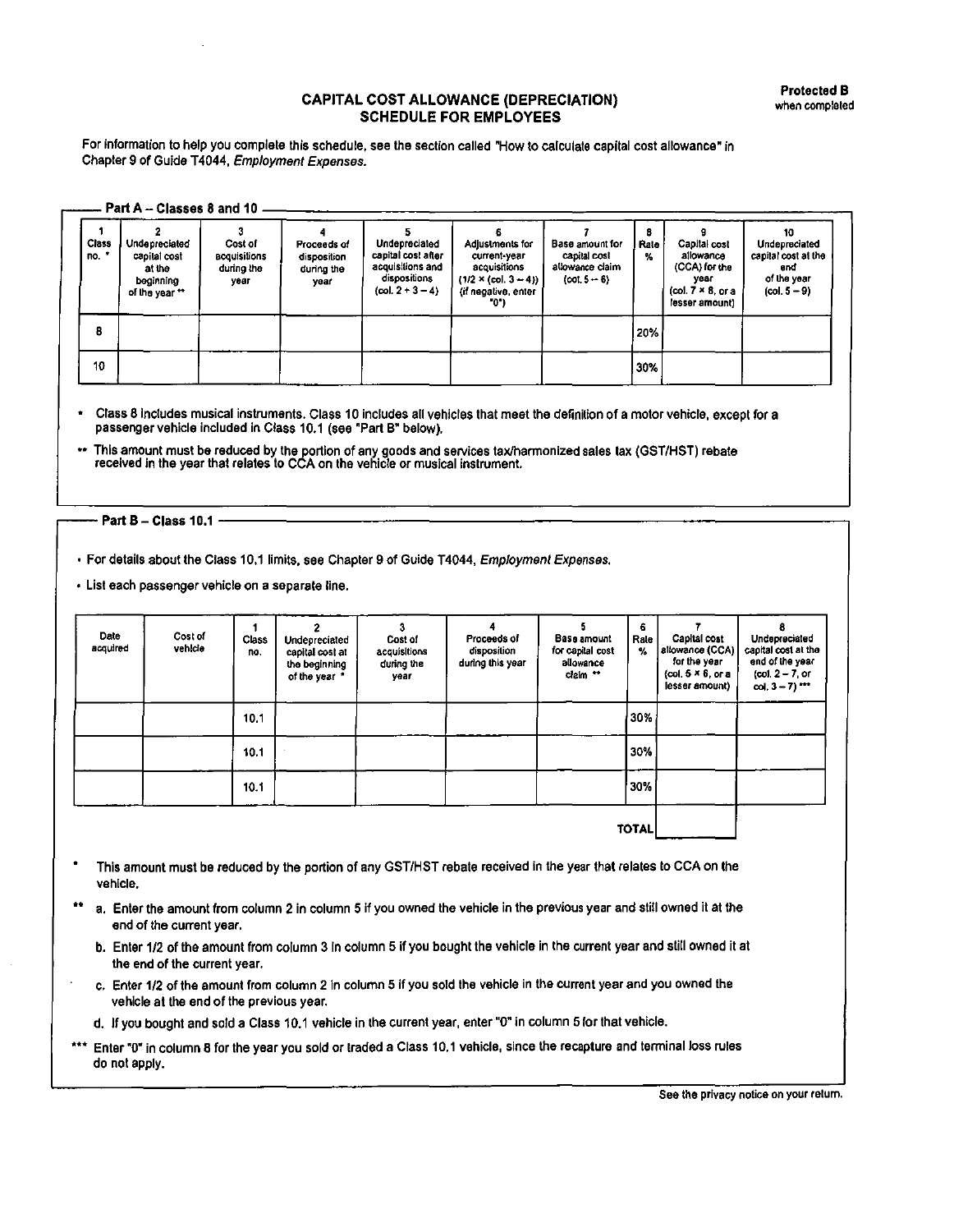For fnformation to help you complete this schedule, see the section called "How to calculate capital cost allowance" in Chapter 9 of Guide T4044, Employment Expenses.

| Class<br>no. | Undepreciated<br>capital cost<br>al the<br>beginning<br>of the year ** | Cost of<br><b>acquisitions</b><br>during the<br>year | Proceeds of<br>disposition<br>during the<br>year | Undepreciated<br>capital cost after<br>acquisitions and<br>dispositions<br>${col.2 - 3 - 4}$ | Adjustments for<br>current-year<br>acquisitions<br>$(1/2 \times (col. 3 - 4))$<br>(if negative, enter<br>-01 | Base amount for<br>capital cost<br>allowance claim<br>$(cot. 5 - 6)$ | 8<br>Rate<br>% | Capital cost<br>allowance<br>(CCA) for the<br>year<br>(col $7 \times 8$ or a<br>lesser amount) | 10<br>Undepreciated<br>capital cost at the<br>end<br>of the year<br>$(col. 5 - 9)$ |
|--------------|------------------------------------------------------------------------|------------------------------------------------------|--------------------------------------------------|----------------------------------------------------------------------------------------------|--------------------------------------------------------------------------------------------------------------|----------------------------------------------------------------------|----------------|------------------------------------------------------------------------------------------------|------------------------------------------------------------------------------------|
| 8            |                                                                        |                                                      |                                                  |                                                                                              |                                                                                                              |                                                                      | 20%            |                                                                                                |                                                                                    |

• Class 8 lnctudes musical instruments. Class 10 includes all vehicles that meet the definition of a motor vehicle, except for a passenger vehicle included in Class 10.1 (see "Part B" below).

\*\* This amount must be reduced by the portion of any goods and services tax/harmonized sales lax (GST/HST) rebate received in the year that relates to CCA on the vehicle or musical instrument.

# Part B-Class 10.1 -----------------------------------,

• For details about the Class 10.1 limils, see Chapter 9 of Guide T4044, Employment Expenses.

• Lisi each passenger vehicle on a separate line.

| Date<br>acquired | Cost of<br>vehicle | <b>Class</b><br>no. | Undepreciated<br>capital cost at<br>the beginning<br>of the year * | Cost of<br>acquisitions<br>during the<br>year | Proceeds of<br>disposition<br>during this year | Base amount<br>for capital cost<br>allowance<br>claim ** | 6<br>Rale<br>% | Capital cost<br>allowance (CCA)<br>for the year<br>(col. $5 \times 6$ , or a<br>lesser amount) | Undepreciated<br>capital cost at the<br>end of the year<br>$(cot 2 - 7)$ or<br>col, $3 - 7$ ) *** |
|------------------|--------------------|---------------------|--------------------------------------------------------------------|-----------------------------------------------|------------------------------------------------|----------------------------------------------------------|----------------|------------------------------------------------------------------------------------------------|---------------------------------------------------------------------------------------------------|
|                  |                    | 10.1                |                                                                    |                                               |                                                |                                                          | 30%            |                                                                                                |                                                                                                   |
|                  |                    | 10.1                |                                                                    |                                               |                                                |                                                          | 30%            |                                                                                                |                                                                                                   |
|                  |                    | 10.1                |                                                                    |                                               |                                                |                                                          | 30%            |                                                                                                |                                                                                                   |
|                  |                    |                     |                                                                    |                                               |                                                |                                                          | <b>TOTAL</b>   |                                                                                                |                                                                                                   |

- This amount must be reduced by the portion of any GST/HST rebate received in the year that relates to CCA on the vehicle.
- \*\* a. Enter the amount from column 2 in column 5 if you owned the vehicle in the previous year and still owned it at the end of the current year.
	- b. Enter 1/2 of the amount from column 3 in column 5 if you bought the vehicle in the current year and still owned it at the end of the current year.
	- c. Enter 1/2 of the amount from column 2 in column 5 if you sold the vehicle in the current year and you owned the vehicle at the end of the previous year.
	- d. If you bought and sold a Class 10.1 vehicle in the current year, enler "O" in column 5 for that vehicle.
- \*\*\* Enter "O" in column 8 for the year you sold or traded a Class 10.1 vehicle, since the recapture and terminal loss rules do not apply.

See the privacy notice on your return.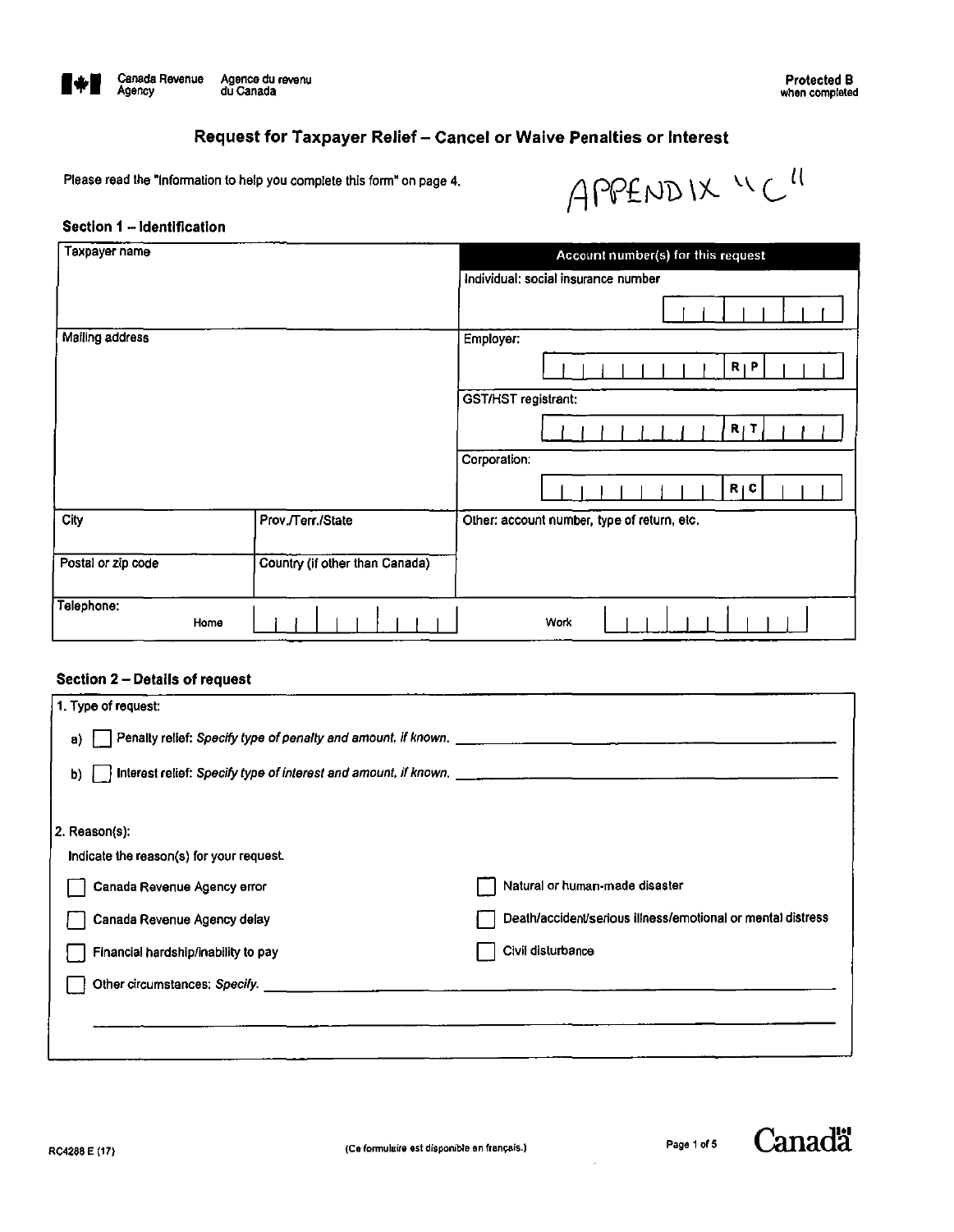

Protected B when completed

# Request for Taxpayer Relief - Cancel or Waive Penalties or Interest

Please read the "Information to help you complete this form" on page 4.

 $APPENDIX "C"$ 

#### Section 1 - Identification

| Taxpayer name      |                                | Account number(s) for this request          |  |  |  |
|--------------------|--------------------------------|---------------------------------------------|--|--|--|
|                    |                                | Individual: social insurance number         |  |  |  |
|                    |                                |                                             |  |  |  |
| Mailing address    |                                | Employer:                                   |  |  |  |
|                    |                                | $R \upharpoonright P$                       |  |  |  |
|                    |                                | <b>GST/HST</b> registrant:                  |  |  |  |
|                    |                                | R T                                         |  |  |  |
|                    |                                | Corporation:                                |  |  |  |
|                    |                                | R   C                                       |  |  |  |
| City               | Prov./Terr./State              | Other: account number, type of return, etc. |  |  |  |
| Postal or zip code | Country (if other than Canada) |                                             |  |  |  |
| Telephone:<br>Home |                                | Work                                        |  |  |  |

#### Section 2 - Details of request

| 1. Type of request:                        |                                                             |
|--------------------------------------------|-------------------------------------------------------------|
| a)                                         |                                                             |
| b)                                         |                                                             |
|                                            |                                                             |
| 2. Reason(s):                              |                                                             |
| Indicate the reason(s) for your request.   |                                                             |
| Canada Revenue Agency error                | Natural or human-made disaster                              |
| Canada Revenue Agency delay                | Death/accident/serious illness/emotional or mental distress |
| Financial hardship/inability to pay        | Civil disturbance                                           |
| Other circumstances: Specify. ____________ |                                                             |
|                                            |                                                             |
|                                            |                                                             |

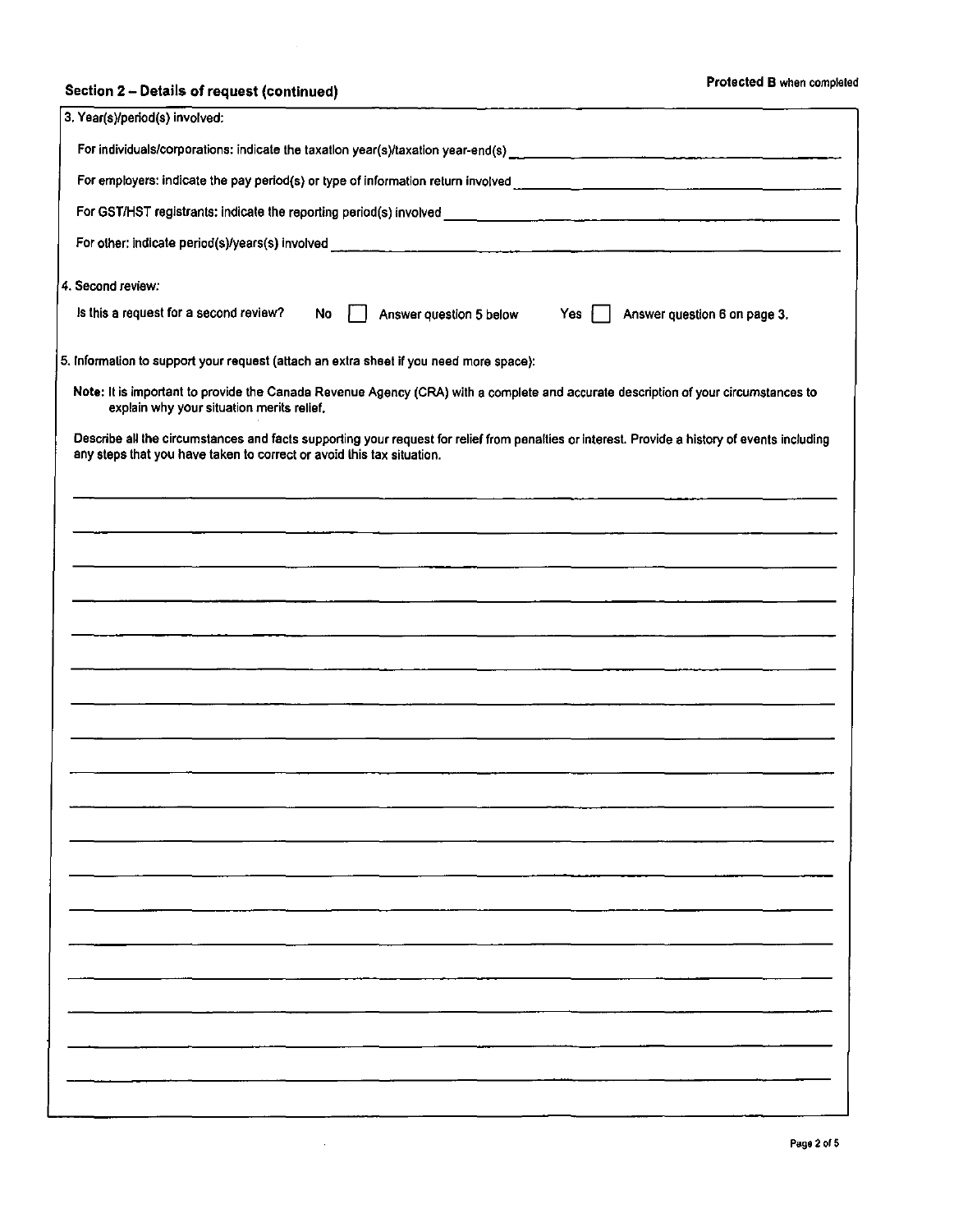# Section 2 - Details of request (continued) Section 2 - Details of request (continued)

| 3. Year(s)/period(s) involved:                                                                                                                                                                                         |
|------------------------------------------------------------------------------------------------------------------------------------------------------------------------------------------------------------------------|
| For individuals/corporations: indicate the taxation year(s)/taxation year-end(s)                                                                                                                                       |
|                                                                                                                                                                                                                        |
|                                                                                                                                                                                                                        |
|                                                                                                                                                                                                                        |
| 4. Second review:                                                                                                                                                                                                      |
| Is this a request for a second review?<br><b>No</b><br>Answer question 5 below<br>Yes<br>Answer question 6 on page 3.                                                                                                  |
| 5. Information to support your request (attach an extra sheet if you need more space):                                                                                                                                 |
| Note: It is important to provide the Canada Revenue Agency (CRA) with a complete and accurate description of your circumstances to<br>explain why your situation merits relief.                                        |
| Describe all the circumstances and facts supporting your request for relief from penalties or interest. Provide a history of events including<br>any steps that you have taken to correct or avoid this tax situation. |
|                                                                                                                                                                                                                        |
|                                                                                                                                                                                                                        |
|                                                                                                                                                                                                                        |
|                                                                                                                                                                                                                        |
|                                                                                                                                                                                                                        |
|                                                                                                                                                                                                                        |
| the control of the company of the                                                                                                                                                                                      |
|                                                                                                                                                                                                                        |
|                                                                                                                                                                                                                        |
|                                                                                                                                                                                                                        |
|                                                                                                                                                                                                                        |
|                                                                                                                                                                                                                        |
|                                                                                                                                                                                                                        |
|                                                                                                                                                                                                                        |
|                                                                                                                                                                                                                        |
|                                                                                                                                                                                                                        |
|                                                                                                                                                                                                                        |
|                                                                                                                                                                                                                        |
|                                                                                                                                                                                                                        |
|                                                                                                                                                                                                                        |
|                                                                                                                                                                                                                        |

 $\sim$